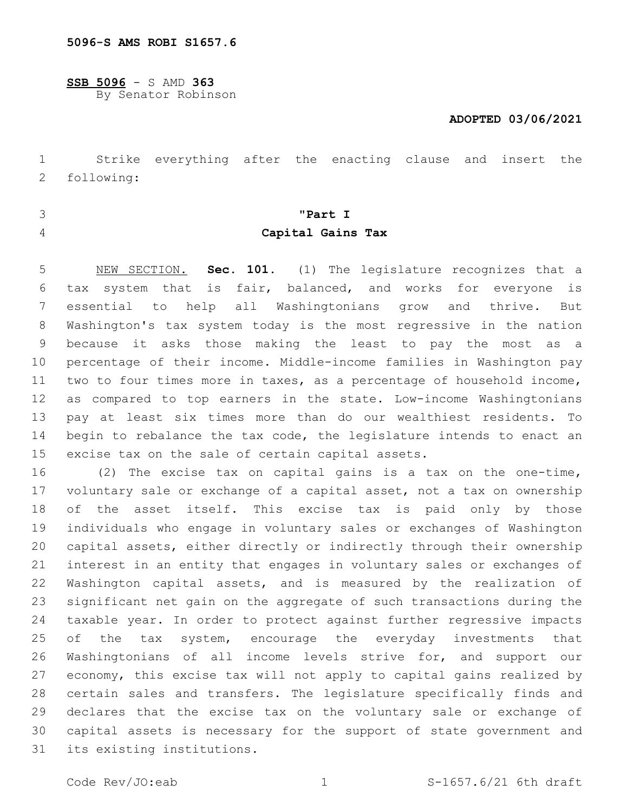**SSB 5096** - S AMD **363** By Senator Robinson

## **ADOPTED 03/06/2021**

 Strike everything after the enacting clause and insert the following:2

- 
- 

# **"Part I Capital Gains Tax**

 NEW SECTION. **Sec. 101.** (1) The legislature recognizes that a tax system that is fair, balanced, and works for everyone is essential to help all Washingtonians grow and thrive. But Washington's tax system today is the most regressive in the nation because it asks those making the least to pay the most as a percentage of their income. Middle-income families in Washington pay two to four times more in taxes, as a percentage of household income, as compared to top earners in the state. Low-income Washingtonians pay at least six times more than do our wealthiest residents. To begin to rebalance the tax code, the legislature intends to enact an excise tax on the sale of certain capital assets.

 (2) The excise tax on capital gains is a tax on the one-time, voluntary sale or exchange of a capital asset, not a tax on ownership of the asset itself. This excise tax is paid only by those individuals who engage in voluntary sales or exchanges of Washington capital assets, either directly or indirectly through their ownership interest in an entity that engages in voluntary sales or exchanges of 22 Washington capital assets, and is measured by the realization of significant net gain on the aggregate of such transactions during the taxable year. In order to protect against further regressive impacts 25 of the tax system, encourage the everyday investments that Washingtonians of all income levels strive for, and support our economy, this excise tax will not apply to capital gains realized by certain sales and transfers. The legislature specifically finds and declares that the excise tax on the voluntary sale or exchange of capital assets is necessary for the support of state government and 31 its existing institutions.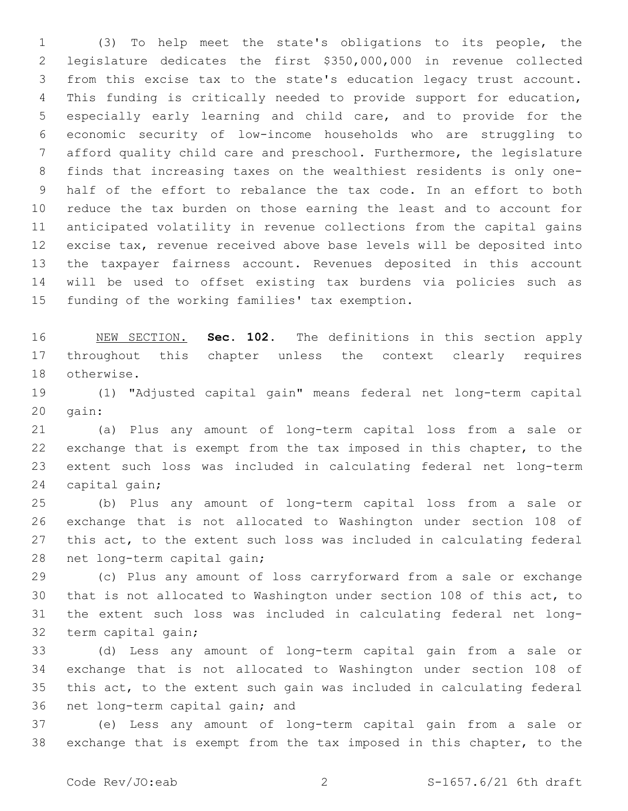(3) To help meet the state's obligations to its people, the legislature dedicates the first \$350,000,000 in revenue collected from this excise tax to the state's education legacy trust account. This funding is critically needed to provide support for education, especially early learning and child care, and to provide for the economic security of low-income households who are struggling to afford quality child care and preschool. Furthermore, the legislature finds that increasing taxes on the wealthiest residents is only one- half of the effort to rebalance the tax code. In an effort to both reduce the tax burden on those earning the least and to account for anticipated volatility in revenue collections from the capital gains excise tax, revenue received above base levels will be deposited into the taxpayer fairness account. Revenues deposited in this account will be used to offset existing tax burdens via policies such as 15 funding of the working families' tax exemption.

 NEW SECTION. **Sec. 102.** The definitions in this section apply throughout this chapter unless the context clearly requires otherwise.

 (1) "Adjusted capital gain" means federal net long-term capital 20 qain:

 (a) Plus any amount of long-term capital loss from a sale or exchange that is exempt from the tax imposed in this chapter, to the extent such loss was included in calculating federal net long-term 24 capital gain;

 (b) Plus any amount of long-term capital loss from a sale or exchange that is not allocated to Washington under section 108 of this act, to the extent such loss was included in calculating federal 28 net long-term capital gain;

 (c) Plus any amount of loss carryforward from a sale or exchange that is not allocated to Washington under section 108 of this act, to the extent such loss was included in calculating federal net long-32 term capital gain;

 (d) Less any amount of long-term capital gain from a sale or exchange that is not allocated to Washington under section 108 of this act, to the extent such gain was included in calculating federal 36 net long-term capital gain; and

 (e) Less any amount of long-term capital gain from a sale or exchange that is exempt from the tax imposed in this chapter, to the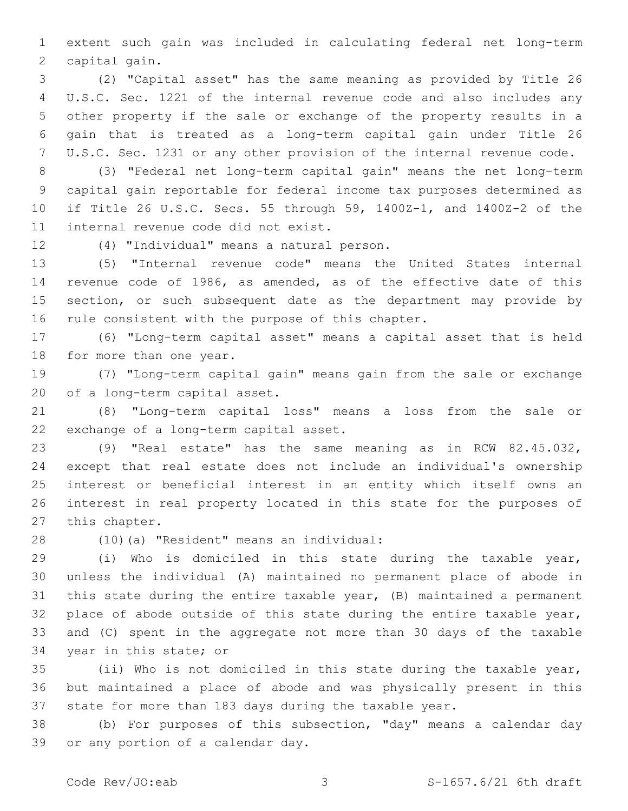extent such gain was included in calculating federal net long-term 2 capital gain.

 (2) "Capital asset" has the same meaning as provided by Title 26 U.S.C. Sec. 1221 of the internal revenue code and also includes any other property if the sale or exchange of the property results in a gain that is treated as a long-term capital gain under Title 26 U.S.C. Sec. 1231 or any other provision of the internal revenue code.

 (3) "Federal net long-term capital gain" means the net long-term capital gain reportable for federal income tax purposes determined as if Title 26 U.S.C. Secs. 55 through 59, 1400Z-1, and 1400Z-2 of the 11 internal revenue code did not exist.

12 (4) "Individual" means a natural person.

 (5) "Internal revenue code" means the United States internal revenue code of 1986, as amended, as of the effective date of this 15 section, or such subsequent date as the department may provide by 16 rule consistent with the purpose of this chapter.

 (6) "Long-term capital asset" means a capital asset that is held 18 for more than one year.

 (7) "Long-term capital gain" means gain from the sale or exchange 20 of a long-term capital asset.

 (8) "Long-term capital loss" means a loss from the sale or 22 exchange of a long-term capital asset.

 (9) "Real estate" has the same meaning as in RCW 82.45.032, except that real estate does not include an individual's ownership interest or beneficial interest in an entity which itself owns an interest in real property located in this state for the purposes of 27 this chapter.

(10)(a) "Resident" means an individual:28

 (i) Who is domiciled in this state during the taxable year, unless the individual (A) maintained no permanent place of abode in this state during the entire taxable year, (B) maintained a permanent place of abode outside of this state during the entire taxable year, and (C) spent in the aggregate not more than 30 days of the taxable 34 year in this state; or

 (ii) Who is not domiciled in this state during the taxable year, but maintained a place of abode and was physically present in this state for more than 183 days during the taxable year.

 (b) For purposes of this subsection, "day" means a calendar day 39 or any portion of a calendar day.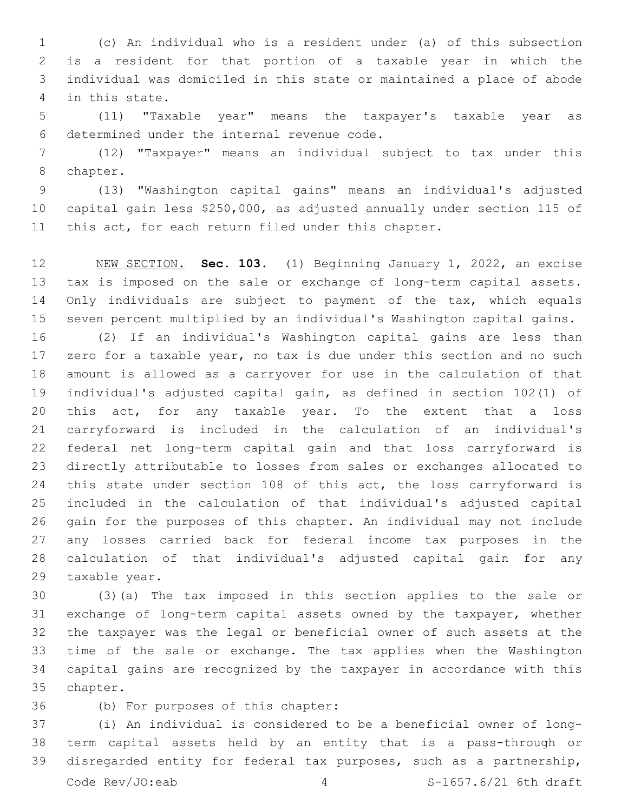(c) An individual who is a resident under (a) of this subsection is a resident for that portion of a taxable year in which the individual was domiciled in this state or maintained a place of abode 4 in this state.

 (11) "Taxable year" means the taxpayer's taxable year as 6 determined under the internal revenue code.

 (12) "Taxpayer" means an individual subject to tax under this 8 chapter.

 (13) "Washington capital gains" means an individual's adjusted capital gain less \$250,000, as adjusted annually under section 115 of this act, for each return filed under this chapter.

 NEW SECTION. **Sec. 103.** (1) Beginning January 1, 2022, an excise tax is imposed on the sale or exchange of long-term capital assets. 14 Only individuals are subject to payment of the tax, which equals seven percent multiplied by an individual's Washington capital gains.

 (2) If an individual's Washington capital gains are less than zero for a taxable year, no tax is due under this section and no such amount is allowed as a carryover for use in the calculation of that individual's adjusted capital gain, as defined in section 102(1) of 20 this act, for any taxable year. To the extent that a loss carryforward is included in the calculation of an individual's federal net long-term capital gain and that loss carryforward is directly attributable to losses from sales or exchanges allocated to 24 this state under section 108 of this act, the loss carryforward is included in the calculation of that individual's adjusted capital gain for the purposes of this chapter. An individual may not include any losses carried back for federal income tax purposes in the calculation of that individual's adjusted capital gain for any 29 taxable year.

 (3)(a) The tax imposed in this section applies to the sale or exchange of long-term capital assets owned by the taxpayer, whether the taxpayer was the legal or beneficial owner of such assets at the time of the sale or exchange. The tax applies when the Washington capital gains are recognized by the taxpayer in accordance with this 35 chapter.

36 (b) For purposes of this chapter:

 (i) An individual is considered to be a beneficial owner of long- term capital assets held by an entity that is a pass-through or disregarded entity for federal tax purposes, such as a partnership, Code  $Rev/JO: eab$   $4$   $S-1657.6/21 6th draft$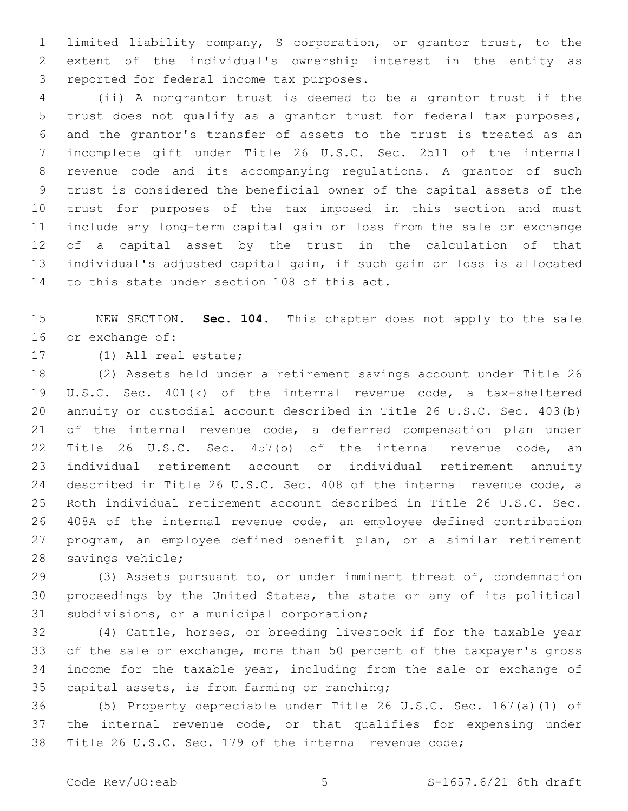limited liability company, S corporation, or grantor trust, to the extent of the individual's ownership interest in the entity as 3 reported for federal income tax purposes.

 (ii) A nongrantor trust is deemed to be a grantor trust if the trust does not qualify as a grantor trust for federal tax purposes, and the grantor's transfer of assets to the trust is treated as an incomplete gift under Title 26 U.S.C. Sec. 2511 of the internal revenue code and its accompanying regulations. A grantor of such trust is considered the beneficial owner of the capital assets of the trust for purposes of the tax imposed in this section and must include any long-term capital gain or loss from the sale or exchange of a capital asset by the trust in the calculation of that individual's adjusted capital gain, if such gain or loss is allocated 14 to this state under section 108 of this act.

 NEW SECTION. **Sec. 104.** This chapter does not apply to the sale or exchange of:

17 (1) All real estate;

 (2) Assets held under a retirement savings account under Title 26 U.S.C. Sec. 401(k) of the internal revenue code, a tax-sheltered annuity or custodial account described in Title 26 U.S.C. Sec. 403(b) of the internal revenue code, a deferred compensation plan under Title 26 U.S.C. Sec. 457(b) of the internal revenue code, an individual retirement account or individual retirement annuity described in Title 26 U.S.C. Sec. 408 of the internal revenue code, a Roth individual retirement account described in Title 26 U.S.C. Sec. 408A of the internal revenue code, an employee defined contribution program, an employee defined benefit plan, or a similar retirement 28 savings vehicle;

 (3) Assets pursuant to, or under imminent threat of, condemnation proceedings by the United States, the state or any of its political 31 subdivisions, or a municipal corporation;

 (4) Cattle, horses, or breeding livestock if for the taxable year of the sale or exchange, more than 50 percent of the taxpayer's gross income for the taxable year, including from the sale or exchange of 35 capital assets, is from farming or ranching;

 (5) Property depreciable under Title 26 U.S.C. Sec. 167(a)(1) of the internal revenue code, or that qualifies for expensing under Title 26 U.S.C. Sec. 179 of the internal revenue code;

Code  $\text{Rev}/\text{JO:}$ eab  $\qquad \qquad$  5  $\qquad \qquad$  S-1657.6/21 6th draft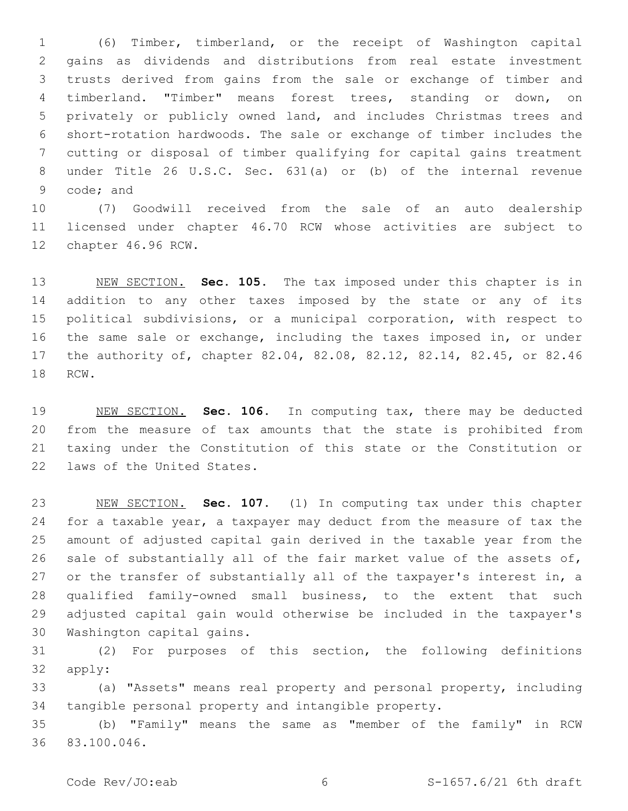(6) Timber, timberland, or the receipt of Washington capital gains as dividends and distributions from real estate investment trusts derived from gains from the sale or exchange of timber and timberland. "Timber" means forest trees, standing or down, on privately or publicly owned land, and includes Christmas trees and short-rotation hardwoods. The sale or exchange of timber includes the cutting or disposal of timber qualifying for capital gains treatment under Title 26 U.S.C. Sec. 631(a) or (b) of the internal revenue 9 code; and

 (7) Goodwill received from the sale of an auto dealership licensed under chapter 46.70 RCW whose activities are subject to 12 chapter 46.96 RCW.

 NEW SECTION. **Sec. 105.** The tax imposed under this chapter is in addition to any other taxes imposed by the state or any of its political subdivisions, or a municipal corporation, with respect to the same sale or exchange, including the taxes imposed in, or under the authority of, chapter 82.04, 82.08, 82.12, 82.14, 82.45, or 82.46 RCW.

 NEW SECTION. **Sec. 106.** In computing tax, there may be deducted from the measure of tax amounts that the state is prohibited from taxing under the Constitution of this state or the Constitution or laws of the United States.

 NEW SECTION. **Sec. 107.** (1) In computing tax under this chapter for a taxable year, a taxpayer may deduct from the measure of tax the amount of adjusted capital gain derived in the taxable year from the sale of substantially all of the fair market value of the assets of, 27 or the transfer of substantially all of the taxpayer's interest in, a qualified family-owned small business, to the extent that such adjusted capital gain would otherwise be included in the taxpayer's Washington capital gains.

 (2) For purposes of this section, the following definitions 32 apply:

 (a) "Assets" means real property and personal property, including tangible personal property and intangible property.

 (b) "Family" means the same as "member of the family" in RCW 83.100.046.36

Code Rev/JO:eab 6 6 S-1657.6/21 6th draft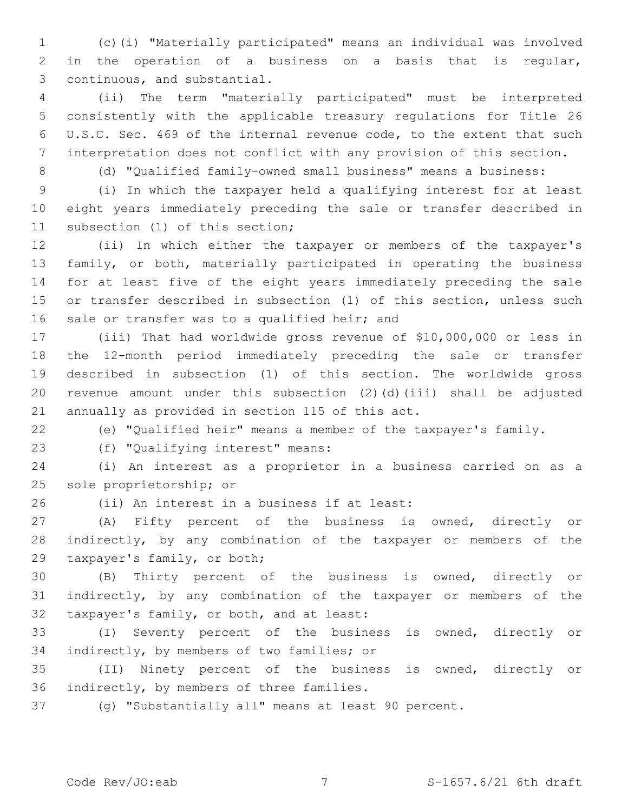(c)(i) "Materially participated" means an individual was involved in the operation of a business on a basis that is regular, 3 continuous, and substantial.

 (ii) The term "materially participated" must be interpreted consistently with the applicable treasury regulations for Title 26 U.S.C. Sec. 469 of the internal revenue code, to the extent that such interpretation does not conflict with any provision of this section.

(d) "Qualified family-owned small business" means a business:

 (i) In which the taxpayer held a qualifying interest for at least eight years immediately preceding the sale or transfer described in 11 subsection (1) of this section;

 (ii) In which either the taxpayer or members of the taxpayer's family, or both, materially participated in operating the business for at least five of the eight years immediately preceding the sale or transfer described in subsection (1) of this section, unless such 16 sale or transfer was to a qualified heir; and

 (iii) That had worldwide gross revenue of \$10,000,000 or less in the 12-month period immediately preceding the sale or transfer described in subsection (1) of this section. The worldwide gross revenue amount under this subsection (2)(d)(iii) shall be adjusted 21 annually as provided in section 115 of this act.

(e) "Qualified heir" means a member of the taxpayer's family.

(f) "Qualifying interest" means:23

 (i) An interest as a proprietor in a business carried on as a 25 sole proprietorship; or

26 (ii) An interest in a business if at least:

 (A) Fifty percent of the business is owned, directly or indirectly, by any combination of the taxpayer or members of the 29 taxpayer's family, or both;

 (B) Thirty percent of the business is owned, directly or indirectly, by any combination of the taxpayer or members of the 32 taxpayer's family, or both, and at least:

 (I) Seventy percent of the business is owned, directly or 34 indirectly, by members of two families; or

 (II) Ninety percent of the business is owned, directly or 36 indirectly, by members of three families.

(g) "Substantially all" means at least 90 percent.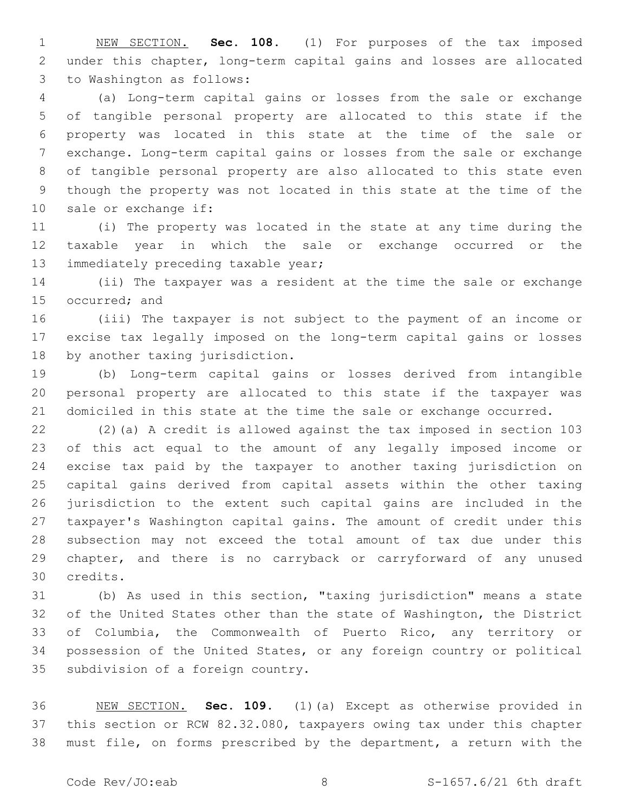NEW SECTION. **Sec. 108.** (1) For purposes of the tax imposed under this chapter, long-term capital gains and losses are allocated to Washington as follows:

 (a) Long-term capital gains or losses from the sale or exchange of tangible personal property are allocated to this state if the property was located in this state at the time of the sale or exchange. Long-term capital gains or losses from the sale or exchange of tangible personal property are also allocated to this state even though the property was not located in this state at the time of the 10 sale or exchange if:

 (i) The property was located in the state at any time during the taxable year in which the sale or exchange occurred or the 13 immediately preceding taxable year;

 (ii) The taxpayer was a resident at the time the sale or exchange 15 occurred; and

 (iii) The taxpayer is not subject to the payment of an income or excise tax legally imposed on the long-term capital gains or losses 18 by another taxing jurisdiction.

 (b) Long-term capital gains or losses derived from intangible personal property are allocated to this state if the taxpayer was domiciled in this state at the time the sale or exchange occurred.

 (2)(a) A credit is allowed against the tax imposed in section 103 of this act equal to the amount of any legally imposed income or excise tax paid by the taxpayer to another taxing jurisdiction on capital gains derived from capital assets within the other taxing jurisdiction to the extent such capital gains are included in the taxpayer's Washington capital gains. The amount of credit under this subsection may not exceed the total amount of tax due under this chapter, and there is no carryback or carryforward of any unused credits.30

 (b) As used in this section, "taxing jurisdiction" means a state of the United States other than the state of Washington, the District of Columbia, the Commonwealth of Puerto Rico, any territory or possession of the United States, or any foreign country or political 35 subdivision of a foreign country.

 NEW SECTION. **Sec. 109.** (1)(a) Except as otherwise provided in this section or RCW 82.32.080, taxpayers owing tax under this chapter must file, on forms prescribed by the department, a return with the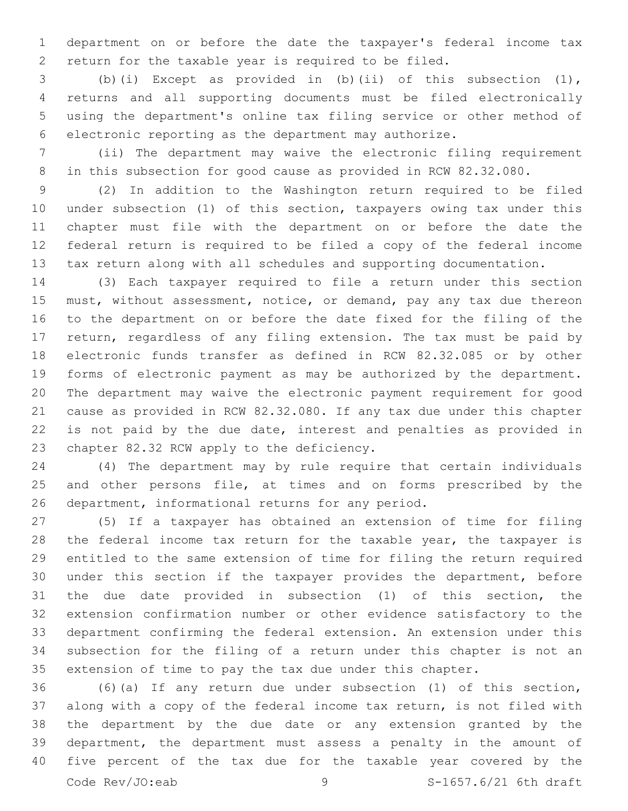department on or before the date the taxpayer's federal income tax return for the taxable year is required to be filed.

 (b)(i) Except as provided in (b)(ii) of this subsection (1), returns and all supporting documents must be filed electronically using the department's online tax filing service or other method of electronic reporting as the department may authorize.

 (ii) The department may waive the electronic filing requirement in this subsection for good cause as provided in RCW 82.32.080.

 (2) In addition to the Washington return required to be filed under subsection (1) of this section, taxpayers owing tax under this chapter must file with the department on or before the date the federal return is required to be filed a copy of the federal income tax return along with all schedules and supporting documentation.

 (3) Each taxpayer required to file a return under this section must, without assessment, notice, or demand, pay any tax due thereon to the department on or before the date fixed for the filing of the return, regardless of any filing extension. The tax must be paid by electronic funds transfer as defined in RCW 82.32.085 or by other forms of electronic payment as may be authorized by the department. The department may waive the electronic payment requirement for good cause as provided in RCW 82.32.080. If any tax due under this chapter is not paid by the due date, interest and penalties as provided in 23 chapter 82.32 RCW apply to the deficiency.

 (4) The department may by rule require that certain individuals 25 and other persons file, at times and on forms prescribed by the 26 department, informational returns for any period.

 (5) If a taxpayer has obtained an extension of time for filing the federal income tax return for the taxable year, the taxpayer is entitled to the same extension of time for filing the return required under this section if the taxpayer provides the department, before the due date provided in subsection (1) of this section, the extension confirmation number or other evidence satisfactory to the department confirming the federal extension. An extension under this subsection for the filing of a return under this chapter is not an extension of time to pay the tax due under this chapter.

 (6)(a) If any return due under subsection (1) of this section, along with a copy of the federal income tax return, is not filed with the department by the due date or any extension granted by the department, the department must assess a penalty in the amount of five percent of the tax due for the taxable year covered by the Code Rev/JO:eab 9 9 S-1657.6/21 6th draft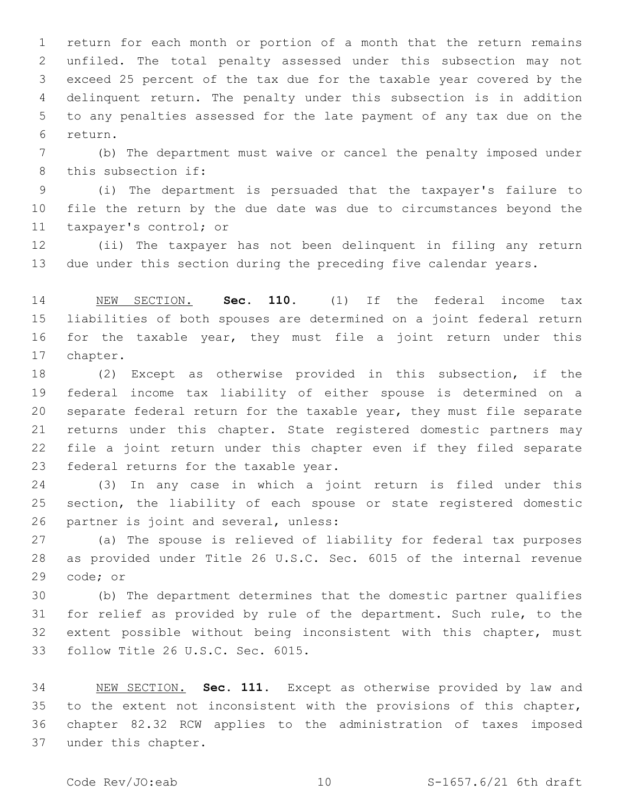return for each month or portion of a month that the return remains unfiled. The total penalty assessed under this subsection may not exceed 25 percent of the tax due for the taxable year covered by the delinquent return. The penalty under this subsection is in addition to any penalties assessed for the late payment of any tax due on the return.6

 (b) The department must waive or cancel the penalty imposed under 8 this subsection if:

 (i) The department is persuaded that the taxpayer's failure to file the return by the due date was due to circumstances beyond the 11 taxpayer's control; or

 (ii) The taxpayer has not been delinquent in filing any return due under this section during the preceding five calendar years.

 NEW SECTION. **Sec. 110.** (1) If the federal income tax liabilities of both spouses are determined on a joint federal return for the taxable year, they must file a joint return under this chapter.

 (2) Except as otherwise provided in this subsection, if the federal income tax liability of either spouse is determined on a separate federal return for the taxable year, they must file separate returns under this chapter. State registered domestic partners may file a joint return under this chapter even if they filed separate 23 federal returns for the taxable year.

 (3) In any case in which a joint return is filed under this section, the liability of each spouse or state registered domestic 26 partner is joint and several, unless:

 (a) The spouse is relieved of liability for federal tax purposes as provided under Title 26 U.S.C. Sec. 6015 of the internal revenue 29 code; or

 (b) The department determines that the domestic partner qualifies for relief as provided by rule of the department. Such rule, to the extent possible without being inconsistent with this chapter, must 33 follow Title 26 U.S.C. Sec. 6015.

 NEW SECTION. **Sec. 111.** Except as otherwise provided by law and to the extent not inconsistent with the provisions of this chapter, chapter 82.32 RCW applies to the administration of taxes imposed under this chapter.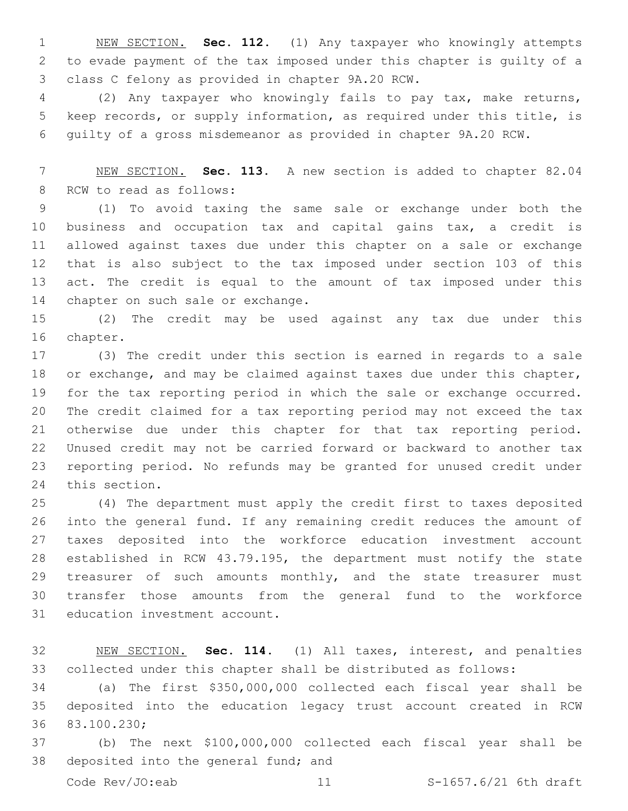NEW SECTION. **Sec. 112.** (1) Any taxpayer who knowingly attempts to evade payment of the tax imposed under this chapter is guilty of a class C felony as provided in chapter 9A.20 RCW.

 (2) Any taxpayer who knowingly fails to pay tax, make returns, keep records, or supply information, as required under this title, is guilty of a gross misdemeanor as provided in chapter 9A.20 RCW.

 NEW SECTION. **Sec. 113.** A new section is added to chapter 82.04 8 RCW to read as follows:

 (1) To avoid taxing the same sale or exchange under both the business and occupation tax and capital gains tax, a credit is allowed against taxes due under this chapter on a sale or exchange that is also subject to the tax imposed under section 103 of this act. The credit is equal to the amount of tax imposed under this 14 chapter on such sale or exchange.

 (2) The credit may be used against any tax due under this 16 chapter.

 (3) The credit under this section is earned in regards to a sale or exchange, and may be claimed against taxes due under this chapter, for the tax reporting period in which the sale or exchange occurred. The credit claimed for a tax reporting period may not exceed the tax otherwise due under this chapter for that tax reporting period. Unused credit may not be carried forward or backward to another tax reporting period. No refunds may be granted for unused credit under 24 this section.

 (4) The department must apply the credit first to taxes deposited into the general fund. If any remaining credit reduces the amount of taxes deposited into the workforce education investment account established in RCW 43.79.195, the department must notify the state 29 treasurer of such amounts monthly, and the state treasurer must transfer those amounts from the general fund to the workforce 31 education investment account.

 NEW SECTION. **Sec. 114.** (1) All taxes, interest, and penalties collected under this chapter shall be distributed as follows:

 (a) The first \$350,000,000 collected each fiscal year shall be deposited into the education legacy trust account created in RCW 36 83.100.230;

 (b) The next \$100,000,000 collected each fiscal year shall be 38 deposited into the general fund; and

Code Rev/JO:eab 11 S-1657.6/21 6th draft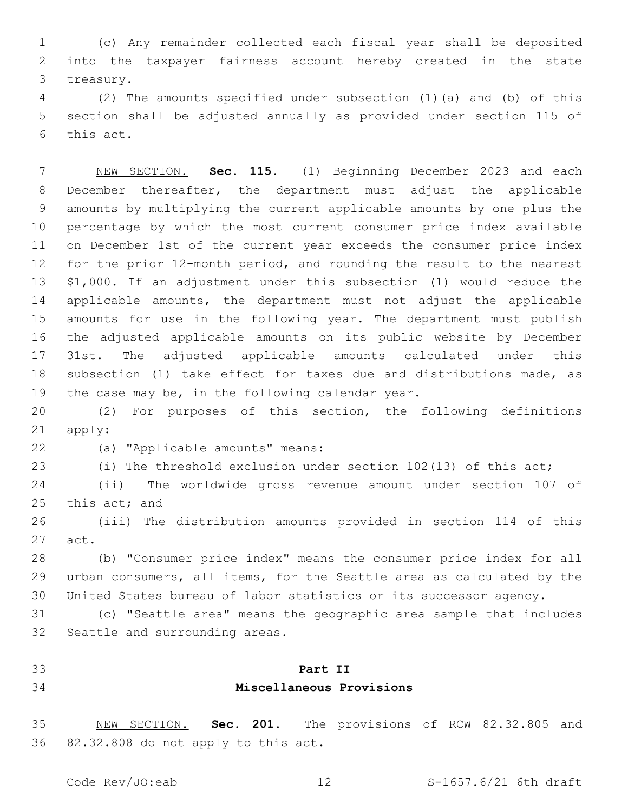(c) Any remainder collected each fiscal year shall be deposited into the taxpayer fairness account hereby created in the state 3 treasury.

 (2) The amounts specified under subsection (1)(a) and (b) of this section shall be adjusted annually as provided under section 115 of 6 this act.

 NEW SECTION. **Sec. 115.** (1) Beginning December 2023 and each December thereafter, the department must adjust the applicable amounts by multiplying the current applicable amounts by one plus the percentage by which the most current consumer price index available on December 1st of the current year exceeds the consumer price index for the prior 12-month period, and rounding the result to the nearest \$1,000. If an adjustment under this subsection (1) would reduce the applicable amounts, the department must not adjust the applicable amounts for use in the following year. The department must publish the adjusted applicable amounts on its public website by December 31st. The adjusted applicable amounts calculated under this subsection (1) take effect for taxes due and distributions made, as the case may be, in the following calendar year.

 (2) For purposes of this section, the following definitions 21 apply:

(a) "Applicable amounts" means:22

(i) The threshold exclusion under section 102(13) of this act;

 (ii) The worldwide gross revenue amount under section 107 of 25 this  $act;$  and

 (iii) The distribution amounts provided in section 114 of this 27 act.

 (b) "Consumer price index" means the consumer price index for all urban consumers, all items, for the Seattle area as calculated by the United States bureau of labor statistics or its successor agency.

 (c) "Seattle area" means the geographic area sample that includes 32 Seattle and surrounding areas.

#### **Part II**

### **Miscellaneous Provisions**

 NEW SECTION. **Sec. 201.** The provisions of RCW 82.32.805 and 82.32.808 do not apply to this act.

Code Rev/JO:eab 12 S-1657.6/21 6th draft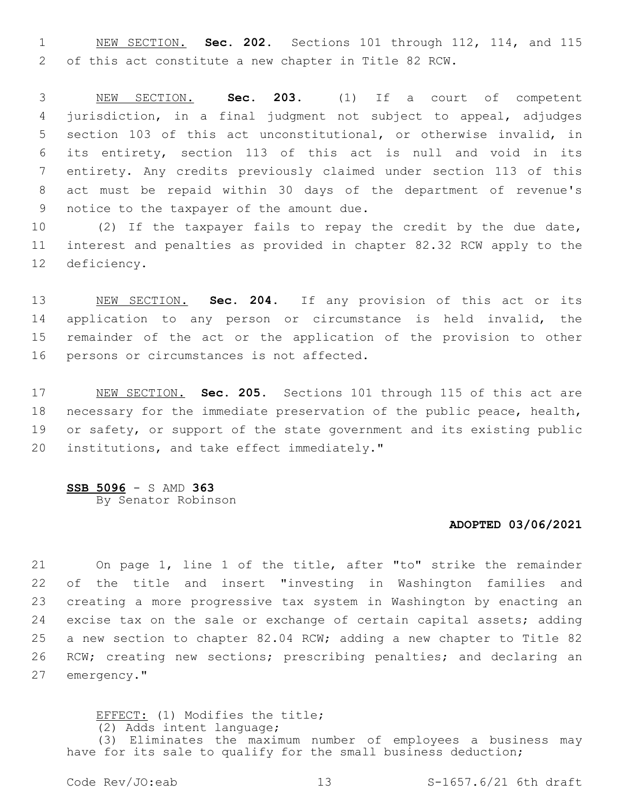NEW SECTION. **Sec. 202.** Sections 101 through 112, 114, and 115 of this act constitute a new chapter in Title 82 RCW.

 NEW SECTION. **Sec. 203.** (1) If a court of competent jurisdiction, in a final judgment not subject to appeal, adjudges section 103 of this act unconstitutional, or otherwise invalid, in its entirety, section 113 of this act is null and void in its entirety. Any credits previously claimed under section 113 of this act must be repaid within 30 days of the department of revenue's notice to the taxpayer of the amount due.

 (2) If the taxpayer fails to repay the credit by the due date, interest and penalties as provided in chapter 82.32 RCW apply to the 12 deficiency.

 NEW SECTION. **Sec. 204.** If any provision of this act or its application to any person or circumstance is held invalid, the remainder of the act or the application of the provision to other persons or circumstances is not affected.

 NEW SECTION. **Sec. 205.** Sections 101 through 115 of this act are necessary for the immediate preservation of the public peace, health, or safety, or support of the state government and its existing public institutions, and take effect immediately."

#### **SSB 5096** - S AMD **363**

By Senator Robinson

## **ADOPTED 03/06/2021**

 On page 1, line 1 of the title, after "to" strike the remainder of the title and insert "investing in Washington families and creating a more progressive tax system in Washington by enacting an excise tax on the sale or exchange of certain capital assets; adding a new section to chapter 82.04 RCW; adding a new chapter to Title 82 RCW; creating new sections; prescribing penalties; and declaring an 27 emergency."

### EFFECT: (1) Modifies the title;

(2) Adds intent language;

(3) Eliminates the maximum number of employees a business may have for its sale to qualify for the small business deduction;